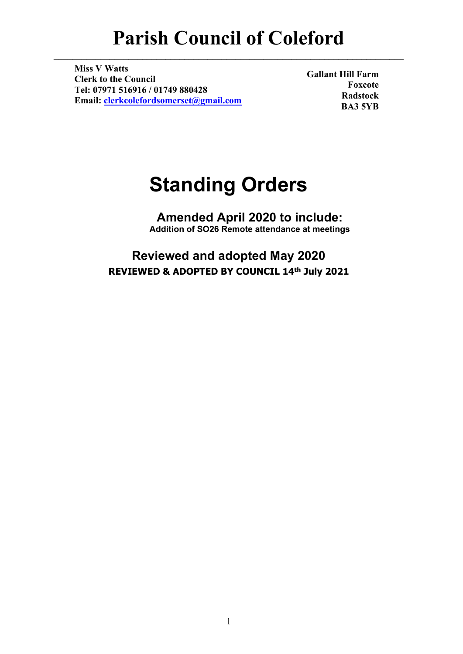# **Parish Council of Coleford**

**\_\_\_\_\_\_\_\_\_\_\_\_\_\_\_\_\_\_\_\_\_\_\_\_\_\_\_\_\_\_\_\_\_\_\_\_\_\_\_\_\_\_\_\_\_\_\_\_\_\_\_\_\_\_\_\_\_\_\_\_\_\_\_\_\_\_\_\_\_\_\_\_\_\_\_**

**Miss V Watts Clerk to the Council Tel: 07971 516916 / 01749 880428 Email: [clerkcolefordsomerset@gmail.com](mailto:clerkcolefordsomerset@gmail.com)**

**Gallant Hill Farm Foxcote Radstock BA3 5YB**

# **Standing Orders**

**Amended April 2020 to include: Addition of SO26 Remote attendance at meetings**

**Reviewed and adopted May 2020 REVIEWED & ADOPTED BY COUNCIL 14th July 2021**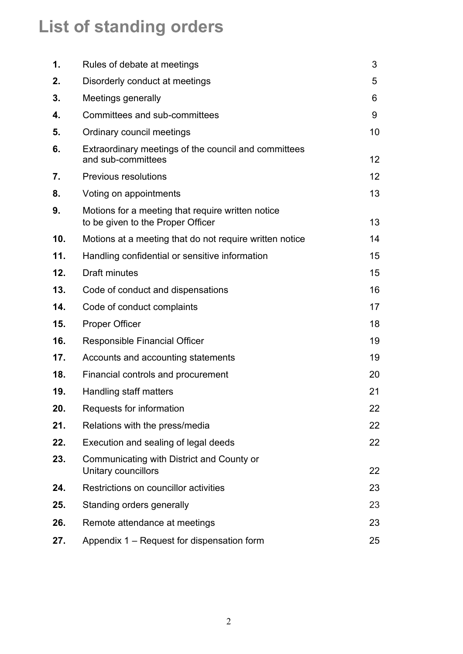# **List of standing orders**

| 1.  | Rules of debate at meetings                                                            | 3               |
|-----|----------------------------------------------------------------------------------------|-----------------|
| 2.  | Disorderly conduct at meetings                                                         | 5               |
| 3.  | Meetings generally                                                                     | 6               |
| 4.  | Committees and sub-committees                                                          | 9               |
| 5.  | Ordinary council meetings                                                              | 10              |
| 6.  | Extraordinary meetings of the council and committees<br>and sub-committees             | 12 <sup>2</sup> |
| 7.  | <b>Previous resolutions</b>                                                            | 12              |
| 8.  | Voting on appointments                                                                 | 13              |
| 9.  | Motions for a meeting that require written notice<br>to be given to the Proper Officer | 13              |
| 10. | Motions at a meeting that do not require written notice                                | 14              |
| 11. | Handling confidential or sensitive information                                         | 15              |
| 12. | <b>Draft minutes</b>                                                                   | 15              |
| 13. | Code of conduct and dispensations                                                      | 16              |
| 14. | Code of conduct complaints                                                             | 17              |
| 15. | <b>Proper Officer</b>                                                                  | 18              |
| 16. | <b>Responsible Financial Officer</b>                                                   | 19              |
| 17. | Accounts and accounting statements                                                     | 19              |
| 18. | Financial controls and procurement                                                     | 20              |
| 19. | Handling staff matters                                                                 | 21              |
| 20. | Requests for information                                                               | 22              |
| 21. | Relations with the press/media                                                         | 22              |
| 22. | Execution and sealing of legal deeds                                                   | 22              |
| 23. | Communicating with District and County or<br>Unitary councillors                       | 22              |
| 24. | Restrictions on councillor activities                                                  | 23              |
| 25. | Standing orders generally                                                              | 23              |
| 26. | Remote attendance at meetings                                                          | 23              |
| 27. | Appendix 1 – Request for dispensation form                                             | 25              |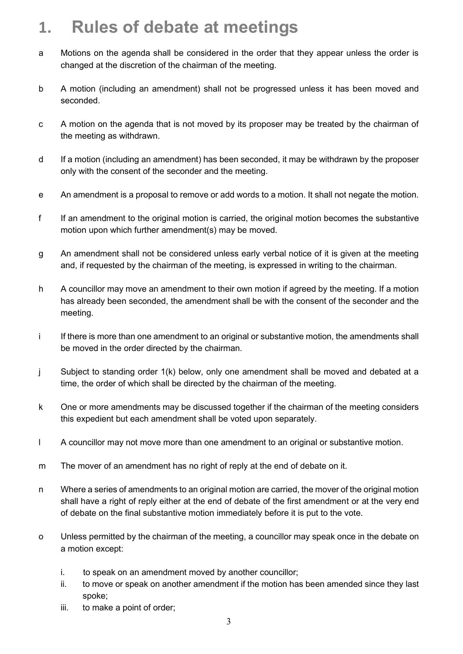#### **1. Rules of debate at meetings**

- a Motions on the agenda shall be considered in the order that they appear unless the order is changed at the discretion of the chairman of the meeting.
- b A motion (including an amendment) shall not be progressed unless it has been moved and seconded.
- c A motion on the agenda that is not moved by its proposer may be treated by the chairman of the meeting as withdrawn.
- d If a motion (including an amendment) has been seconded, it may be withdrawn by the proposer only with the consent of the seconder and the meeting.
- e An amendment is a proposal to remove or add words to a motion. It shall not negate the motion.
- f If an amendment to the original motion is carried, the original motion becomes the substantive motion upon which further amendment(s) may be moved.
- g An amendment shall not be considered unless early verbal notice of it is given at the meeting and, if requested by the chairman of the meeting, is expressed in writing to the chairman.
- h A councillor may move an amendment to their own motion if agreed by the meeting. If a motion has already been seconded, the amendment shall be with the consent of the seconder and the meeting.
- i If there is more than one amendment to an original or substantive motion, the amendments shall be moved in the order directed by the chairman.
- j Subject to standing order 1(k) below, only one amendment shall be moved and debated at a time, the order of which shall be directed by the chairman of the meeting.
- k One or more amendments may be discussed together if the chairman of the meeting considers this expedient but each amendment shall be voted upon separately.
- l A councillor may not move more than one amendment to an original or substantive motion.
- m The mover of an amendment has no right of reply at the end of debate on it.
- n Where a series of amendments to an original motion are carried, the mover of the original motion shall have a right of reply either at the end of debate of the first amendment or at the very end of debate on the final substantive motion immediately before it is put to the vote.
- o Unless permitted by the chairman of the meeting, a councillor may speak once in the debate on a motion except:
	- i. to speak on an amendment moved by another councillor;
	- ii. to move or speak on another amendment if the motion has been amended since they last spoke;
	- iii. to make a point of order;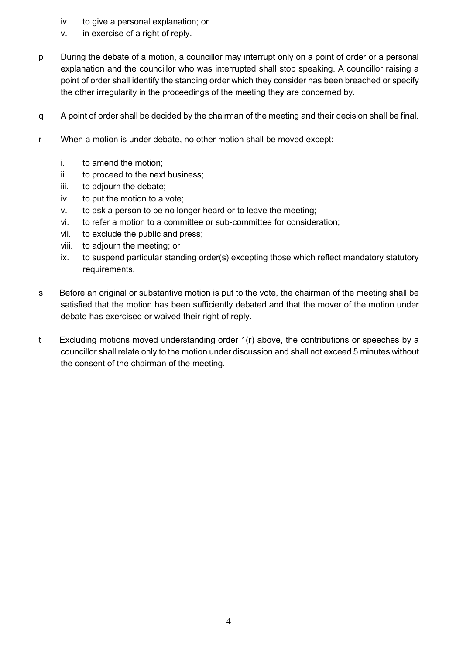- iv. to give a personal explanation; or
- v. in exercise of a right of reply.
- p During the debate of a motion, a councillor may interrupt only on a point of order or a personal explanation and the councillor who was interrupted shall stop speaking. A councillor raising a point of order shall identify the standing order which they consider has been breached or specify the other irregularity in the proceedings of the meeting they are concerned by.
- q A point of order shall be decided by the chairman of the meeting and their decision shall be final.
- r When a motion is under debate, no other motion shall be moved except:
	- i. to amend the motion;
	- ii. to proceed to the next business;
	- iii. to adjourn the debate;
	- iv. to put the motion to a vote;
	- v. to ask a person to be no longer heard or to leave the meeting;
	- vi. to refer a motion to a committee or sub-committee for consideration;
	- vii. to exclude the public and press;
	- viii. to adjourn the meeting; or
	- ix. to suspend particular standing order(s) excepting those which reflect mandatory statutory requirements.
- s Before an original or substantive motion is put to the vote, the chairman of the meeting shall be satisfied that the motion has been sufficiently debated and that the mover of the motion under debate has exercised or waived their right of reply.
- t Excluding motions moved understanding order 1(r) above, the contributions or speeches by a councillor shall relate only to the motion under discussion and shall not exceed 5 minutes without the consent of the chairman of the meeting.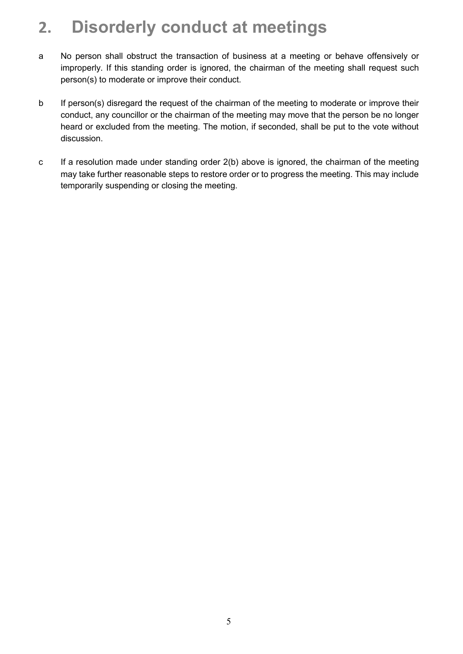## **2. Disorderly conduct at meetings**

- a No person shall obstruct the transaction of business at a meeting or behave offensively or improperly. If this standing order is ignored, the chairman of the meeting shall request such person(s) to moderate or improve their conduct.
- b If person(s) disregard the request of the chairman of the meeting to moderate or improve their conduct, any councillor or the chairman of the meeting may move that the person be no longer heard or excluded from the meeting. The motion, if seconded, shall be put to the vote without discussion.
- c If a resolution made under standing order 2(b) above is ignored, the chairman of the meeting may take further reasonable steps to restore order or to progress the meeting. This may include temporarily suspending or closing the meeting.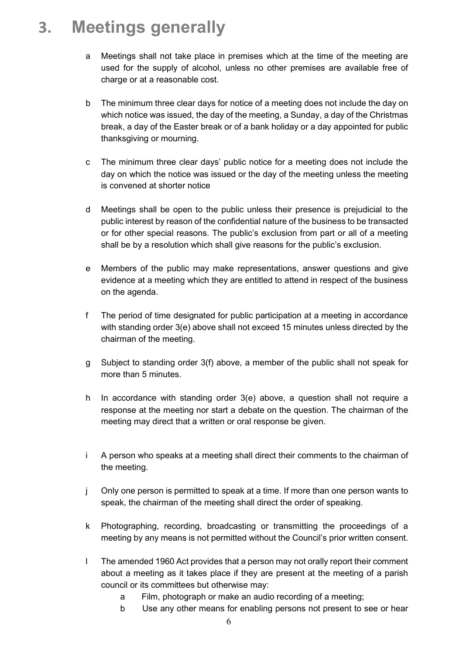### **3. Meetings generally**

- a Meetings shall not take place in premises which at the time of the meeting are used for the supply of alcohol, unless no other premises are available free of charge or at a reasonable cost.
- b The minimum three clear days for notice of a meeting does not include the day on which notice was issued, the day of the meeting, a Sunday, a day of the Christmas break, a day of the Easter break or of a bank holiday or a day appointed for public thanksgiving or mourning.
- c The minimum three clear days' public notice for a meeting does not include the day on which the notice was issued or the day of the meeting unless the meeting is convened at shorter notice
- d Meetings shall be open to the public unless their presence is prejudicial to the public interest by reason of the confidential nature of the business to be transacted or for other special reasons. The public's exclusion from part or all of a meeting shall be by a resolution which shall give reasons for the public's exclusion.
- e Members of the public may make representations, answer questions and give evidence at a meeting which they are entitled to attend in respect of the business on the agenda.
- f The period of time designated for public participation at a meeting in accordance with standing order 3(e) above shall not exceed 15 minutes unless directed by the chairman of the meeting.
- g Subject to standing order 3(f) above, a member of the public shall not speak for more than 5 minutes.
- h In accordance with standing order 3(e) above, a question shall not require a response at the meeting nor start a debate on the question. The chairman of the meeting may direct that a written or oral response be given.
- i A person who speaks at a meeting shall direct their comments to the chairman of the meeting.
- j Only one person is permitted to speak at a time. If more than one person wants to speak, the chairman of the meeting shall direct the order of speaking.
- k Photographing, recording, broadcasting or transmitting the proceedings of a meeting by any means is not permitted without the Council's prior written consent.
- l The amended 1960 Act provides that a person may not orally report their comment about a meeting as it takes place if they are present at the meeting of a parish council or its committees but otherwise may:
	- a Film, photograph or make an audio recording of a meeting;
	- b Use any other means for enabling persons not present to see or hear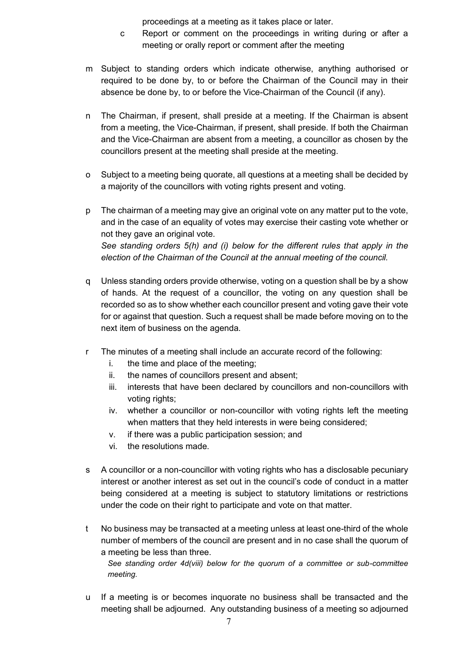proceedings at a meeting as it takes place or later.

- c Report or comment on the proceedings in writing during or after a meeting or orally report or comment after the meeting
- m Subject to standing orders which indicate otherwise, anything authorised or required to be done by, to or before the Chairman of the Council may in their absence be done by, to or before the Vice-Chairman of the Council (if any).
- n The Chairman, if present, shall preside at a meeting. If the Chairman is absent from a meeting, the Vice-Chairman, if present, shall preside. If both the Chairman and the Vice-Chairman are absent from a meeting, a councillor as chosen by the councillors present at the meeting shall preside at the meeting.
- o Subject to a meeting being quorate, all questions at a meeting shall be decided by a majority of the councillors with voting rights present and voting.
- p The chairman of a meeting may give an original vote on any matter put to the vote, and in the case of an equality of votes may exercise their casting vote whether or not they gave an original vote. *See standing orders 5(h) and (i) below for the different rules that apply in the election of the Chairman of the Council at the annual meeting of the council.*
- q Unless standing orders provide otherwise, voting on a question shall be by a show of hands. At the request of a councillor, the voting on any question shall be recorded so as to show whether each councillor present and voting gave their vote for or against that question. Such a request shall be made before moving on to the next item of business on the agenda.
- r The minutes of a meeting shall include an accurate record of the following:
	- i. the time and place of the meeting;
	- ii. the names of councillors present and absent;
	- iii. interests that have been declared by councillors and non-councillors with voting rights;
	- iv. whether a councillor or non-councillor with voting rights left the meeting when matters that they held interests in were being considered;
	- v. if there was a public participation session; and
	- vi. the resolutions made.
- s A councillor or a non-councillor with voting rights who has a disclosable pecuniary interest or another interest as set out in the council's code of conduct in a matter being considered at a meeting is subject to statutory limitations or restrictions under the code on their right to participate and vote on that matter.
- t No business may be transacted at a meeting unless at least one-third of the whole number of members of the council are present and in no case shall the quorum of a meeting be less than three.

*See standing order 4d(viii) below for the quorum of a committee or sub-committee meeting.* 

u If a meeting is or becomes inquorate no business shall be transacted and the meeting shall be adjourned. Any outstanding business of a meeting so adjourned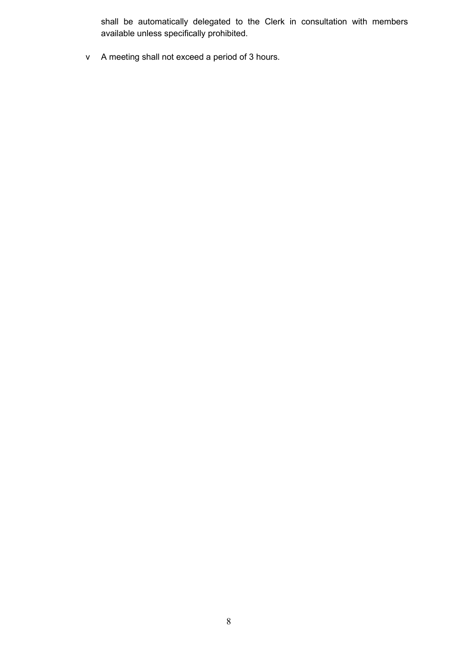shall be automatically delegated to the Clerk in consultation with members available unless specifically prohibited.

v A meeting shall not exceed a period of 3 hours.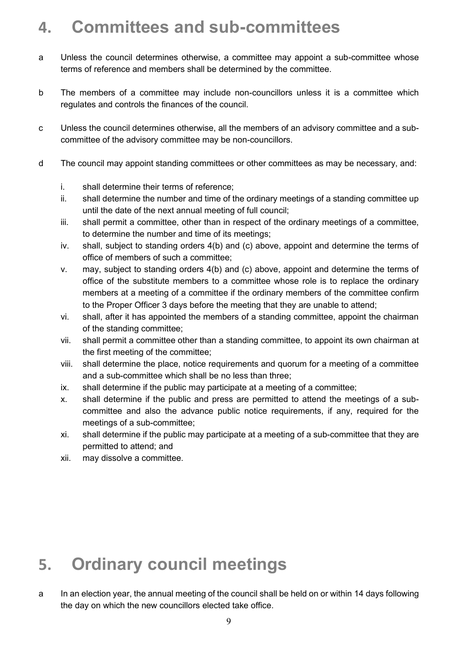### **4. Committees and sub-committees**

- a Unless the council determines otherwise, a committee may appoint a sub-committee whose terms of reference and members shall be determined by the committee.
- b The members of a committee may include non-councillors unless it is a committee which regulates and controls the finances of the council.
- c Unless the council determines otherwise, all the members of an advisory committee and a subcommittee of the advisory committee may be non-councillors.
- d The council may appoint standing committees or other committees as may be necessary, and:
	- i. shall determine their terms of reference;
	- ii. shall determine the number and time of the ordinary meetings of a standing committee up until the date of the next annual meeting of full council;
	- iii. shall permit a committee, other than in respect of the ordinary meetings of a committee, to determine the number and time of its meetings;
	- iv. shall, subject to standing orders 4(b) and (c) above, appoint and determine the terms of office of members of such a committee;
	- v. may, subject to standing orders 4(b) and (c) above, appoint and determine the terms of office of the substitute members to a committee whose role is to replace the ordinary members at a meeting of a committee if the ordinary members of the committee confirm to the Proper Officer 3 days before the meeting that they are unable to attend;
	- vi. shall, after it has appointed the members of a standing committee, appoint the chairman of the standing committee;
	- vii. shall permit a committee other than a standing committee, to appoint its own chairman at the first meeting of the committee;
	- viii. shall determine the place, notice requirements and quorum for a meeting of a committee and a sub-committee which shall be no less than three;
	- ix. shall determine if the public may participate at a meeting of a committee;
	- x. shall determine if the public and press are permitted to attend the meetings of a subcommittee and also the advance public notice requirements, if any, required for the meetings of a sub-committee;
	- xi. shall determine if the public may participate at a meeting of a sub-committee that they are permitted to attend; and
	- xii. may dissolve a committee.

## **5. Ordinary council meetings**

a In an election year, the annual meeting of the council shall be held on or within 14 days following the day on which the new councillors elected take office.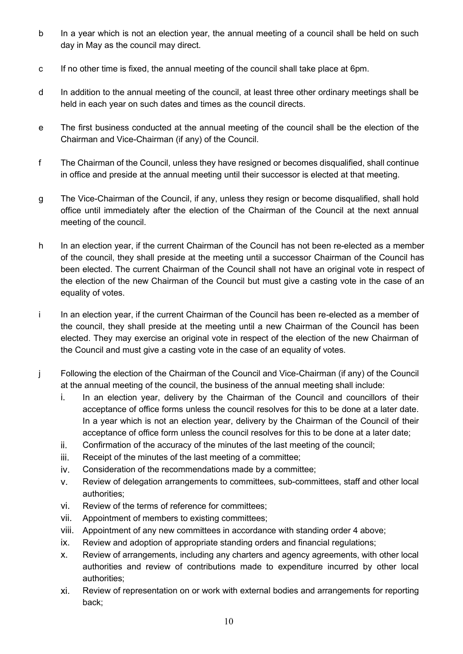- b In a year which is not an election year, the annual meeting of a council shall be held on such day in May as the council may direct.
- c If no other time is fixed, the annual meeting of the council shall take place at 6pm.
- d In addition to the annual meeting of the council, at least three other ordinary meetings shall be held in each year on such dates and times as the council directs.
- e The first business conducted at the annual meeting of the council shall be the election of the Chairman and Vice-Chairman (if any) of the Council.
- f The Chairman of the Council, unless they have resigned or becomes disqualified, shall continue in office and preside at the annual meeting until their successor is elected at that meeting.
- g The Vice-Chairman of the Council, if any, unless they resign or become disqualified, shall hold office until immediately after the election of the Chairman of the Council at the next annual meeting of the council.
- h In an election year, if the current Chairman of the Council has not been re-elected as a member of the council, they shall preside at the meeting until a successor Chairman of the Council has been elected. The current Chairman of the Council shall not have an original vote in respect of the election of the new Chairman of the Council but must give a casting vote in the case of an equality of votes.
- i In an election year, if the current Chairman of the Council has been re-elected as a member of the council, they shall preside at the meeting until a new Chairman of the Council has been elected. They may exercise an original vote in respect of the election of the new Chairman of the Council and must give a casting vote in the case of an equality of votes.
- j Following the election of the Chairman of the Council and Vice-Chairman (if any) of the Council at the annual meeting of the council, the business of the annual meeting shall include:
	- i. In an election year, delivery by the Chairman of the Council and councillors of their acceptance of office forms unless the council resolves for this to be done at a later date. In a year which is not an election year, delivery by the Chairman of the Council of their acceptance of office form unless the council resolves for this to be done at a later date;
	- ii. Confirmation of the accuracy of the minutes of the last meeting of the council;
	- iii. Receipt of the minutes of the last meeting of a committee;
	- iv. Consideration of the recommendations made by a committee;
	- v. Review of delegation arrangements to committees, sub-committees, staff and other local authorities;
	- vi. Review of the terms of reference for committees;
	- vii. Appointment of members to existing committees;
	- viii. Appointment of any new committees in accordance with standing order 4 above;
	- ix. Review and adoption of appropriate standing orders and financial regulations;
	- x. Review of arrangements, including any charters and agency agreements, with other local authorities and review of contributions made to expenditure incurred by other local authorities;
	- xi. Review of representation on or work with external bodies and arrangements for reporting back;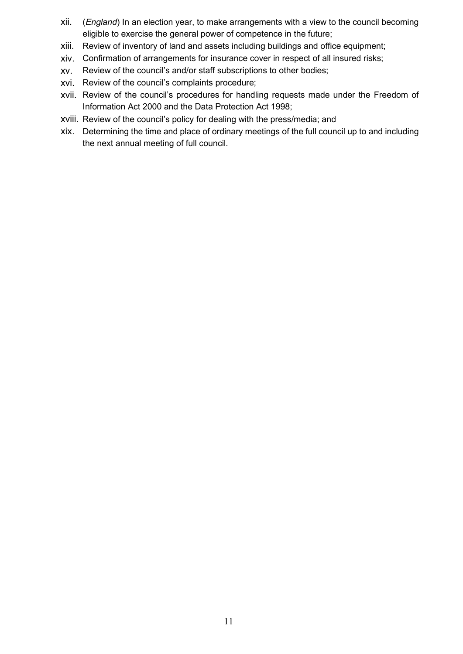- xii. (*England*) In an election year, to make arrangements with a view to the council becoming eligible to exercise the general power of competence in the future;
- xiii. Review of inventory of land and assets including buildings and office equipment;
- xiv. Confirmation of arrangements for insurance cover in respect of all insured risks;
- xv. Review of the council's and/or staff subscriptions to other bodies;
- xvi. Review of the council's complaints procedure;
- xvii. Review of the council's procedures for handling requests made under the Freedom of Information Act 2000 and the Data Protection Act 1998;
- xviii. Review of the council's policy for dealing with the press/media; and
- xix. Determining the time and place of ordinary meetings of the full council up to and including the next annual meeting of full council.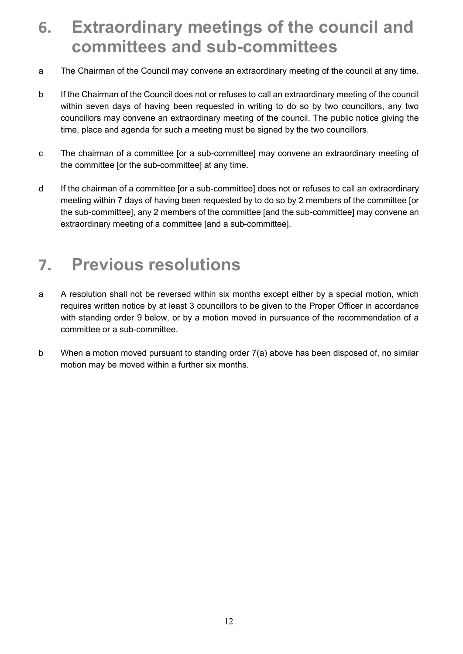#### **6. Extraordinary meetings of the council and committees and sub-committees**

- a The Chairman of the Council may convene an extraordinary meeting of the council at any time.
- b If the Chairman of the Council does not or refuses to call an extraordinary meeting of the council within seven days of having been requested in writing to do so by two councillors, any two councillors may convene an extraordinary meeting of the council. The public notice giving the time, place and agenda for such a meeting must be signed by the two councillors.
- c The chairman of a committee [or a sub-committee] may convene an extraordinary meeting of the committee [or the sub-committee] at any time.
- d If the chairman of a committee [or a sub-committee] does not or refuses to call an extraordinary meeting within 7 days of having been requested by to do so by 2 members of the committee [or the sub-committee], any 2 members of the committee [and the sub-committee] may convene an extraordinary meeting of a committee [and a sub-committee].

#### **7. Previous resolutions**

- a A resolution shall not be reversed within six months except either by a special motion, which requires written notice by at least 3 councillors to be given to the Proper Officer in accordance with standing order 9 below, or by a motion moved in pursuance of the recommendation of a committee or a sub-committee.
- b When a motion moved pursuant to standing order 7(a) above has been disposed of, no similar motion may be moved within a further six months.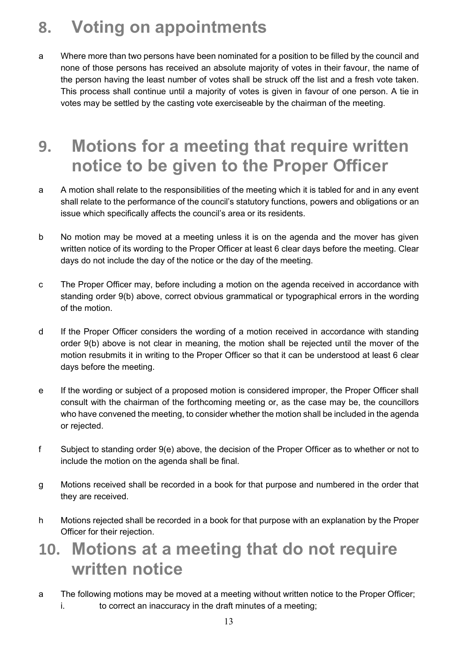## **8. Voting on appointments**

a Where more than two persons have been nominated for a position to be filled by the council and none of those persons has received an absolute majority of votes in their favour, the name of the person having the least number of votes shall be struck off the list and a fresh vote taken. This process shall continue until a majority of votes is given in favour of one person. A tie in votes may be settled by the casting vote exerciseable by the chairman of the meeting.

#### **9. Motions for a meeting that require written notice to be given to the Proper Officer**

- a A motion shall relate to the responsibilities of the meeting which it is tabled for and in any event shall relate to the performance of the council's statutory functions, powers and obligations or an issue which specifically affects the council's area or its residents.
- b No motion may be moved at a meeting unless it is on the agenda and the mover has given written notice of its wording to the Proper Officer at least 6 clear days before the meeting. Clear days do not include the day of the notice or the day of the meeting.
- c The Proper Officer may, before including a motion on the agenda received in accordance with standing order 9(b) above, correct obvious grammatical or typographical errors in the wording of the motion.
- d If the Proper Officer considers the wording of a motion received in accordance with standing order 9(b) above is not clear in meaning, the motion shall be rejected until the mover of the motion resubmits it in writing to the Proper Officer so that it can be understood at least 6 clear days before the meeting.
- e If the wording or subject of a proposed motion is considered improper, the Proper Officer shall consult with the chairman of the forthcoming meeting or, as the case may be, the councillors who have convened the meeting, to consider whether the motion shall be included in the agenda or rejected.
- f Subject to standing order 9(e) above, the decision of the Proper Officer as to whether or not to include the motion on the agenda shall be final.
- g Motions received shall be recorded in a book for that purpose and numbered in the order that they are received.
- h Motions rejected shall be recorded in a book for that purpose with an explanation by the Proper Officer for their rejection.

#### **10. Motions at a meeting that do not require written notice**

a The following motions may be moved at a meeting without written notice to the Proper Officer; i. to correct an inaccuracy in the draft minutes of a meeting;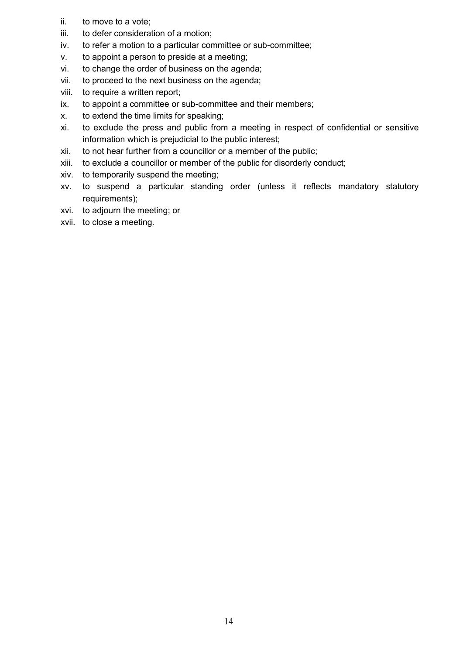- ii. to move to a vote;
- iii. to defer consideration of a motion;
- iv. to refer a motion to a particular committee or sub-committee;
- v. to appoint a person to preside at a meeting;
- vi. to change the order of business on the agenda;
- vii. to proceed to the next business on the agenda;
- viii. to require a written report;
- ix. to appoint a committee or sub-committee and their members;
- x. to extend the time limits for speaking;
- xi. to exclude the press and public from a meeting in respect of confidential or sensitive information which is prejudicial to the public interest;
- xii. to not hear further from a councillor or a member of the public;
- xiii. to exclude a councillor or member of the public for disorderly conduct;
- xiv. to temporarily suspend the meeting;
- xv. to suspend a particular standing order (unless it reflects mandatory statutory requirements);
- xvi. to adjourn the meeting; or
- xvii. to close a meeting.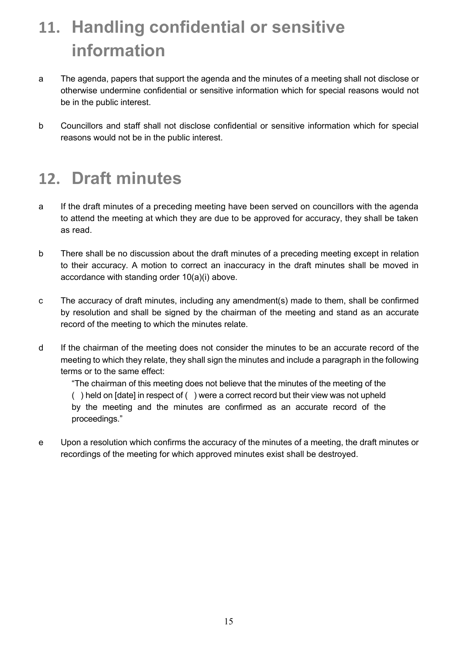## **11. Handling confidential or sensitive information**

- a The agenda, papers that support the agenda and the minutes of a meeting shall not disclose or otherwise undermine confidential or sensitive information which for special reasons would not be in the public interest.
- b Councillors and staff shall not disclose confidential or sensitive information which for special reasons would not be in the public interest.

#### **12. Draft minutes**

- a If the draft minutes of a preceding meeting have been served on councillors with the agenda to attend the meeting at which they are due to be approved for accuracy, they shall be taken as read.
- b There shall be no discussion about the draft minutes of a preceding meeting except in relation to their accuracy. A motion to correct an inaccuracy in the draft minutes shall be moved in accordance with standing order 10(a)(i) above.
- c The accuracy of draft minutes, including any amendment(s) made to them, shall be confirmed by resolution and shall be signed by the chairman of the meeting and stand as an accurate record of the meeting to which the minutes relate.
- d If the chairman of the meeting does not consider the minutes to be an accurate record of the meeting to which they relate, they shall sign the minutes and include a paragraph in the following terms or to the same effect:

"The chairman of this meeting does not believe that the minutes of the meeting of the ( ) held on [date] in respect of ( ) were a correct record but their view was not upheld by the meeting and the minutes are confirmed as an accurate record of the proceedings."

e Upon a resolution which confirms the accuracy of the minutes of a meeting, the draft minutes or recordings of the meeting for which approved minutes exist shall be destroyed.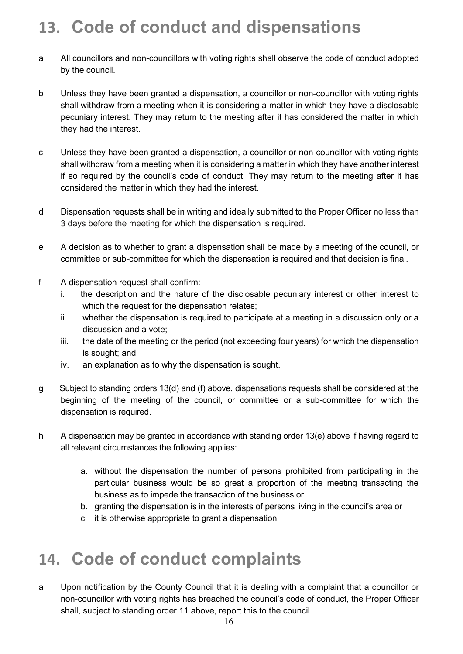#### **13. Code of conduct and dispensations**

- a All councillors and non-councillors with voting rights shall observe the code of conduct adopted by the council.
- b Unless they have been granted a dispensation, a councillor or non-councillor with voting rights shall withdraw from a meeting when it is considering a matter in which they have a disclosable pecuniary interest. They may return to the meeting after it has considered the matter in which they had the interest.
- c Unless they have been granted a dispensation, a councillor or non-councillor with voting rights shall withdraw from a meeting when it is considering a matter in which they have another interest if so required by the council's code of conduct. They may return to the meeting after it has considered the matter in which they had the interest.
- d Dispensation requests shall be in writing and ideally submitted to the Proper Officer no less than 3 days before the meeting for which the dispensation is required.
- e A decision as to whether to grant a dispensation shall be made by a meeting of the council, or committee or sub-committee for which the dispensation is required and that decision is final.
- f A dispensation request shall confirm:
	- i. the description and the nature of the disclosable pecuniary interest or other interest to which the request for the dispensation relates;
	- ii. whether the dispensation is required to participate at a meeting in a discussion only or a discussion and a vote;
	- iii. the date of the meeting or the period (not exceeding four years) for which the dispensation is sought; and
	- iv. an explanation as to why the dispensation is sought.
- g Subject to standing orders 13(d) and (f) above, dispensations requests shall be considered at the beginning of the meeting of the council, or committee or a sub-committee for which the dispensation is required.
- h A dispensation may be granted in accordance with standing order 13(e) above if having regard to all relevant circumstances the following applies:
	- a. without the dispensation the number of persons prohibited from participating in the particular business would be so great a proportion of the meeting transacting the business as to impede the transaction of the business or
	- b. granting the dispensation is in the interests of persons living in the council's area or
	- c. it is otherwise appropriate to grant a dispensation.

#### **14. Code of conduct complaints**

a Upon notification by the County Council that it is dealing with a complaint that a councillor or non-councillor with voting rights has breached the council's code of conduct, the Proper Officer shall, subject to standing order 11 above, report this to the council.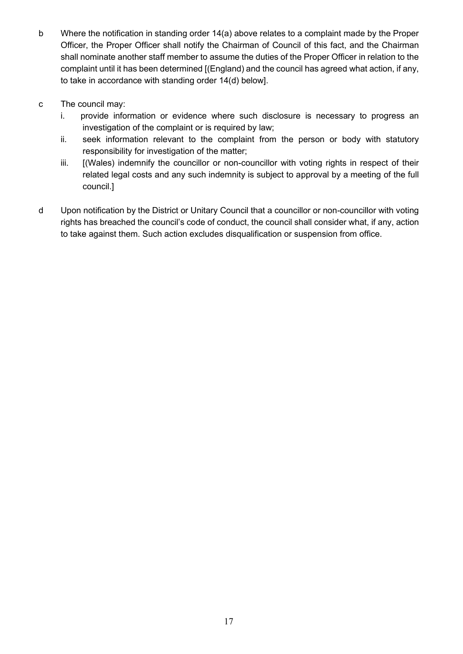- b Where the notification in standing order 14(a) above relates to a complaint made by the Proper Officer, the Proper Officer shall notify the Chairman of Council of this fact, and the Chairman shall nominate another staff member to assume the duties of the Proper Officer in relation to the complaint until it has been determined [(England) and the council has agreed what action, if any, to take in accordance with standing order 14(d) below].
- c The council may:
	- i. provide information or evidence where such disclosure is necessary to progress an investigation of the complaint or is required by law;
	- ii. seek information relevant to the complaint from the person or body with statutory responsibility for investigation of the matter;
	- iii. [(Wales) indemnify the councillor or non-councillor with voting rights in respect of their related legal costs and any such indemnity is subject to approval by a meeting of the full council.]
- d Upon notification by the District or Unitary Council that a councillor or non-councillor with voting rights has breached the council's code of conduct, the council shall consider what, if any, action to take against them. Such action excludes disqualification or suspension from office.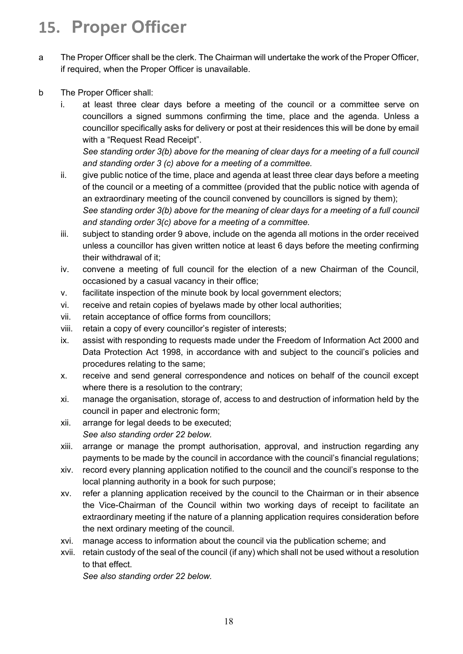## **15. Proper Officer**

- a The Proper Officer shall be the clerk. The Chairman will undertake the work of the Proper Officer, if required, when the Proper Officer is unavailable.
- b The Proper Officer shall:
	- i. at least three clear days before a meeting of the council or a committee serve on councillors a signed summons confirming the time, place and the agenda. Unless a councillor specifically asks for delivery or post at their residences this will be done by email with a "Request Read Receipt".

*See standing order 3(b) above for the meaning of clear days for a meeting of a full council and standing order 3 (c) above for a meeting of a committee.*

- ii. give public notice of the time, place and agenda at least three clear days before a meeting of the council or a meeting of a committee (provided that the public notice with agenda of an extraordinary meeting of the council convened by councillors is signed by them); *See standing order 3(b) above for the meaning of clear days for a meeting of a full council and standing order 3(c) above for a meeting of a committee.*
- iii. subject to standing order 9 above, include on the agenda all motions in the order received unless a councillor has given written notice at least 6 days before the meeting confirming their withdrawal of it;
- iv. convene a meeting of full council for the election of a new Chairman of the Council, occasioned by a casual vacancy in their office;
- v. facilitate inspection of the minute book by local government electors;
- vi. receive and retain copies of byelaws made by other local authorities;
- vii. retain acceptance of office forms from councillors;
- viii. retain a copy of every councillor's register of interests;
- ix. assist with responding to requests made under the Freedom of Information Act 2000 and Data Protection Act 1998, in accordance with and subject to the council's policies and procedures relating to the same;
- x. receive and send general correspondence and notices on behalf of the council except where there is a resolution to the contrary;
- xi. manage the organisation, storage of, access to and destruction of information held by the council in paper and electronic form;
- xii. arrange for legal deeds to be executed; *See also standing order 22 below.*
- xiii. arrange or manage the prompt authorisation, approval, and instruction regarding any payments to be made by the council in accordance with the council's financial regulations;
- xiv. record every planning application notified to the council and the council's response to the local planning authority in a book for such purpose;
- xv. refer a planning application received by the council to the Chairman or in their absence the Vice-Chairman of the Council within two working days of receipt to facilitate an extraordinary meeting if the nature of a planning application requires consideration before the next ordinary meeting of the council.
- xvi. manage access to information about the council via the publication scheme; and
- xvii. retain custody of the seal of the council (if any) which shall not be used without a resolution to that effect.

*See also standing order 22 below.*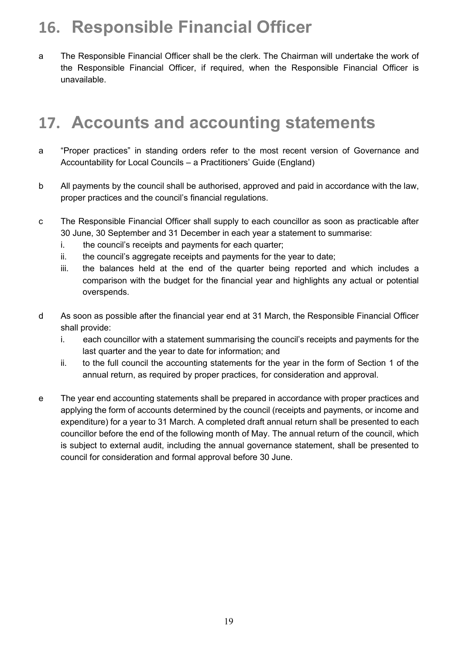## **16. Responsible Financial Officer**

a The Responsible Financial Officer shall be the clerk. The Chairman will undertake the work of the Responsible Financial Officer, if required, when the Responsible Financial Officer is unavailable.

#### **17. Accounts and accounting statements**

- a "Proper practices" in standing orders refer to the most recent version of Governance and Accountability for Local Councils – a Practitioners' Guide (England)
- b All payments by the council shall be authorised, approved and paid in accordance with the law, proper practices and the council's financial regulations.
- c The Responsible Financial Officer shall supply to each councillor as soon as practicable after 30 June, 30 September and 31 December in each year a statement to summarise:
	- i. the council's receipts and payments for each quarter;
	- ii. the council's aggregate receipts and payments for the year to date;
	- iii. the balances held at the end of the quarter being reported and which includes a comparison with the budget for the financial year and highlights any actual or potential overspends.
- d As soon as possible after the financial year end at 31 March, the Responsible Financial Officer shall provide:
	- i. each councillor with a statement summarising the council's receipts and payments for the last quarter and the year to date for information; and
	- ii. to the full council the accounting statements for the year in the form of Section 1 of the annual return, as required by proper practices, for consideration and approval.
- e The year end accounting statements shall be prepared in accordance with proper practices and applying the form of accounts determined by the council (receipts and payments, or income and expenditure) for a year to 31 March. A completed draft annual return shall be presented to each councillor before the end of the following month of May. The annual return of the council, which is subject to external audit, including the annual governance statement, shall be presented to council for consideration and formal approval before 30 June.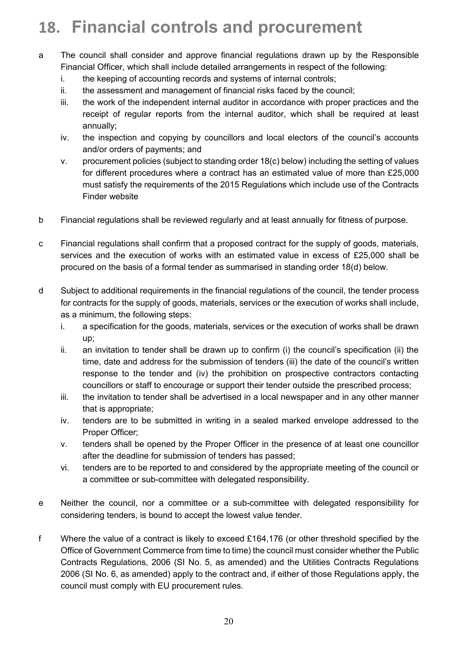## **18. Financial controls and procurement**

- a The council shall consider and approve financial regulations drawn up by the Responsible Financial Officer, which shall include detailed arrangements in respect of the following:
	- i. the keeping of accounting records and systems of internal controls;
	- ii. the assessment and management of financial risks faced by the council;
	- iii. the work of the independent internal auditor in accordance with proper practices and the receipt of regular reports from the internal auditor, which shall be required at least annually;
	- iv. the inspection and copying by councillors and local electors of the council's accounts and/or orders of payments; and
	- v. procurement policies (subject to standing order 18(c) below) including the setting of values for different procedures where a contract has an estimated value of more than £25,000 must satisfy the requirements of the 2015 Regulations which include use of the Contracts Finder website
- b Financial regulations shall be reviewed regularly and at least annually for fitness of purpose.
- c Financial regulations shall confirm that a proposed contract for the supply of goods, materials, services and the execution of works with an estimated value in excess of £25,000 shall be procured on the basis of a formal tender as summarised in standing order 18(d) below.
- d Subject to additional requirements in the financial regulations of the council, the tender process for contracts for the supply of goods, materials, services or the execution of works shall include, as a minimum, the following steps:
	- i. a specification for the goods, materials, services or the execution of works shall be drawn up;
	- ii. an invitation to tender shall be drawn up to confirm (i) the council's specification (ii) the time, date and address for the submission of tenders (iii) the date of the council's written response to the tender and (iv) the prohibition on prospective contractors contacting councillors or staff to encourage or support their tender outside the prescribed process;
	- iii. the invitation to tender shall be advertised in a local newspaper and in any other manner that is appropriate;
	- iv. tenders are to be submitted in writing in a sealed marked envelope addressed to the Proper Officer;
	- v. tenders shall be opened by the Proper Officer in the presence of at least one councillor after the deadline for submission of tenders has passed;
	- vi. tenders are to be reported to and considered by the appropriate meeting of the council or a committee or sub-committee with delegated responsibility.
- e Neither the council, nor a committee or a sub-committee with delegated responsibility for considering tenders, is bound to accept the lowest value tender.
- f Where the value of a contract is likely to exceed £164,176 (or other threshold specified by the Office of Government Commerce from time to time) the council must consider whether the Public Contracts Regulations, 2006 (SI No. 5, as amended) and the Utilities Contracts Regulations 2006 (SI No. 6, as amended) apply to the contract and, if either of those Regulations apply, the council must comply with EU procurement rules.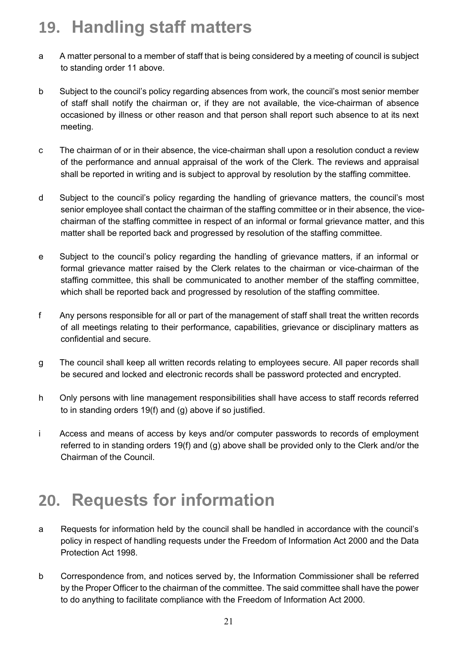## **19. Handling staff matters**

- a A matter personal to a member of staff that is being considered by a meeting of council is subject to standing order 11 above.
- b Subject to the council's policy regarding absences from work, the council's most senior member of staff shall notify the chairman or, if they are not available, the vice-chairman of absence occasioned by illness or other reason and that person shall report such absence to at its next meeting.
- c The chairman of or in their absence, the vice-chairman shall upon a resolution conduct a review of the performance and annual appraisal of the work of the Clerk. The reviews and appraisal shall be reported in writing and is subject to approval by resolution by the staffing committee.
- d Subject to the council's policy regarding the handling of grievance matters, the council's most senior employee shall contact the chairman of the staffing committee or in their absence, the vicechairman of the staffing committee in respect of an informal or formal grievance matter, and this matter shall be reported back and progressed by resolution of the staffing committee.
- e Subject to the council's policy regarding the handling of grievance matters, if an informal or formal grievance matter raised by the Clerk relates to the chairman or vice-chairman of the staffing committee, this shall be communicated to another member of the staffing committee, which shall be reported back and progressed by resolution of the staffing committee.
- f Any persons responsible for all or part of the management of staff shall treat the written records of all meetings relating to their performance, capabilities, grievance or disciplinary matters as confidential and secure.
- g The council shall keep all written records relating to employees secure. All paper records shall be secured and locked and electronic records shall be password protected and encrypted.
- h Only persons with line management responsibilities shall have access to staff records referred to in standing orders 19(f) and (g) above if so justified.
- i Access and means of access by keys and/or computer passwords to records of employment referred to in standing orders 19(f) and (g) above shall be provided only to the Clerk and/or the Chairman of the Council.

#### **20. Requests for information**

- a Requests for information held by the council shall be handled in accordance with the council's policy in respect of handling requests under the Freedom of Information Act 2000 and the Data Protection Act 1998.
- b Correspondence from, and notices served by, the Information Commissioner shall be referred by the Proper Officer to the chairman of the committee. The said committee shall have the power to do anything to facilitate compliance with the Freedom of Information Act 2000.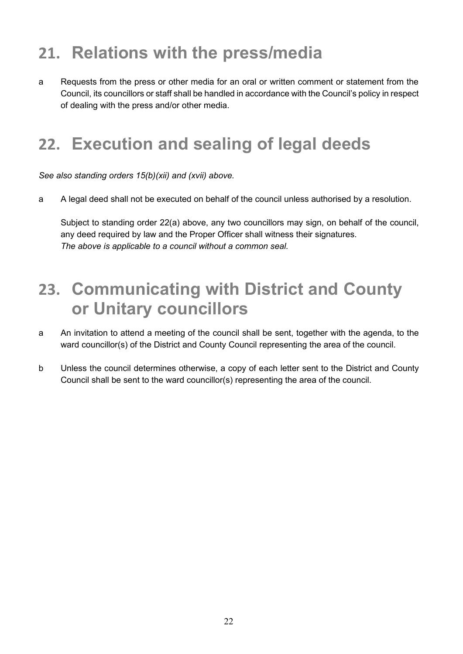## **21. Relations with the press/media**

a Requests from the press or other media for an oral or written comment or statement from the Council, its councillors or staff shall be handled in accordance with the Council's policy in respect of dealing with the press and/or other media.

#### **22. Execution and sealing of legal deeds**

*See also standing orders 15(b)(xii) and (xvii) above.*

a A legal deed shall not be executed on behalf of the council unless authorised by a resolution.

Subject to standing order 22(a) above, any two councillors may sign, on behalf of the council, any deed required by law and the Proper Officer shall witness their signatures. *The above is applicable to a council without a common seal.*

#### **23. Communicating with District and County or Unitary councillors**

- a An invitation to attend a meeting of the council shall be sent, together with the agenda, to the ward councillor(s) of the District and County Council representing the area of the council.
- b Unless the council determines otherwise, a copy of each letter sent to the District and County Council shall be sent to the ward councillor(s) representing the area of the council.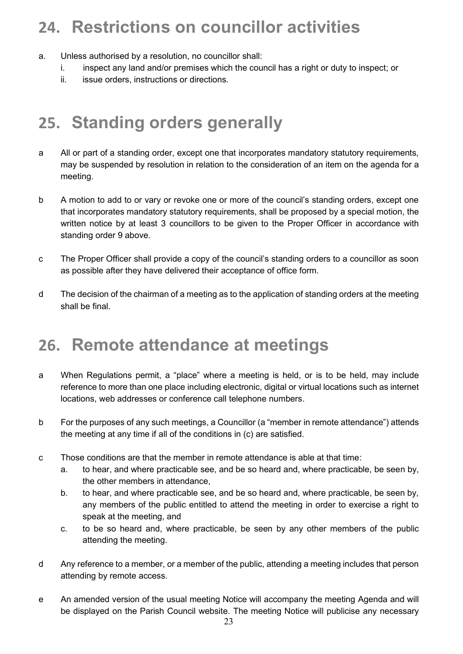## **24. Restrictions on councillor activities**

- a. Unless authorised by a resolution, no councillor shall:
	- i. inspect any land and/or premises which the council has a right or duty to inspect; or
	- ii. issue orders, instructions or directions.

## **25. Standing orders generally**

- a All or part of a standing order, except one that incorporates mandatory statutory requirements, may be suspended by resolution in relation to the consideration of an item on the agenda for a meeting.
- b A motion to add to or vary or revoke one or more of the council's standing orders, except one that incorporates mandatory statutory requirements, shall be proposed by a special motion, the written notice by at least 3 councillors to be given to the Proper Officer in accordance with standing order 9 above.
- c The Proper Officer shall provide a copy of the council's standing orders to a councillor as soon as possible after they have delivered their acceptance of office form.
- d The decision of the chairman of a meeting as to the application of standing orders at the meeting shall be final.

#### **26. Remote attendance at meetings**

- a When Regulations permit, a "place" where a meeting is held, or is to be held, may include reference to more than one place including electronic, digital or virtual locations such as internet locations, web addresses or conference call telephone numbers.
- b For the purposes of any such meetings, a Councillor (a "member in remote attendance") attends the meeting at any time if all of the conditions in (c) are satisfied.
- c Those conditions are that the member in remote attendance is able at that time:
	- a. to hear, and where practicable see, and be so heard and, where practicable, be seen by, the other members in attendance,
	- b. to hear, and where practicable see, and be so heard and, where practicable, be seen by, any members of the public entitled to attend the meeting in order to exercise a right to speak at the meeting, and
	- c. to be so heard and, where practicable, be seen by any other members of the public attending the meeting.
- d Any reference to a member, or a member of the public, attending a meeting includes that person attending by remote access.
- e An amended version of the usual meeting Notice will accompany the meeting Agenda and will be displayed on the Parish Council website. The meeting Notice will publicise any necessary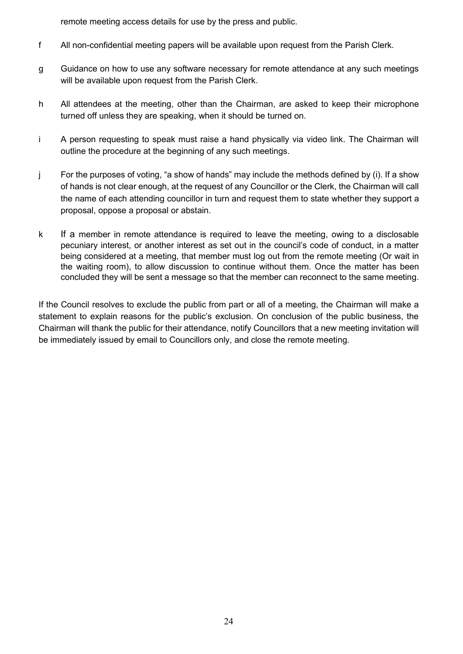remote meeting access details for use by the press and public.

- f All non-confidential meeting papers will be available upon request from the Parish Clerk.
- g Guidance on how to use any software necessary for remote attendance at any such meetings will be available upon request from the Parish Clerk.
- h All attendees at the meeting, other than the Chairman, are asked to keep their microphone turned off unless they are speaking, when it should be turned on.
- i A person requesting to speak must raise a hand physically via video link. The Chairman will outline the procedure at the beginning of any such meetings.
- j For the purposes of voting, "a show of hands" may include the methods defined by (i). If a show of hands is not clear enough, at the request of any Councillor or the Clerk, the Chairman will call the name of each attending councillor in turn and request them to state whether they support a proposal, oppose a proposal or abstain.
- k If a member in remote attendance is required to leave the meeting, owing to a disclosable pecuniary interest, or another interest as set out in the council's code of conduct, in a matter being considered at a meeting, that member must log out from the remote meeting (Or wait in the waiting room), to allow discussion to continue without them. Once the matter has been concluded they will be sent a message so that the member can reconnect to the same meeting.

If the Council resolves to exclude the public from part or all of a meeting, the Chairman will make a statement to explain reasons for the public's exclusion. On conclusion of the public business, the Chairman will thank the public for their attendance, notify Councillors that a new meeting invitation will be immediately issued by email to Councillors only, and close the remote meeting.